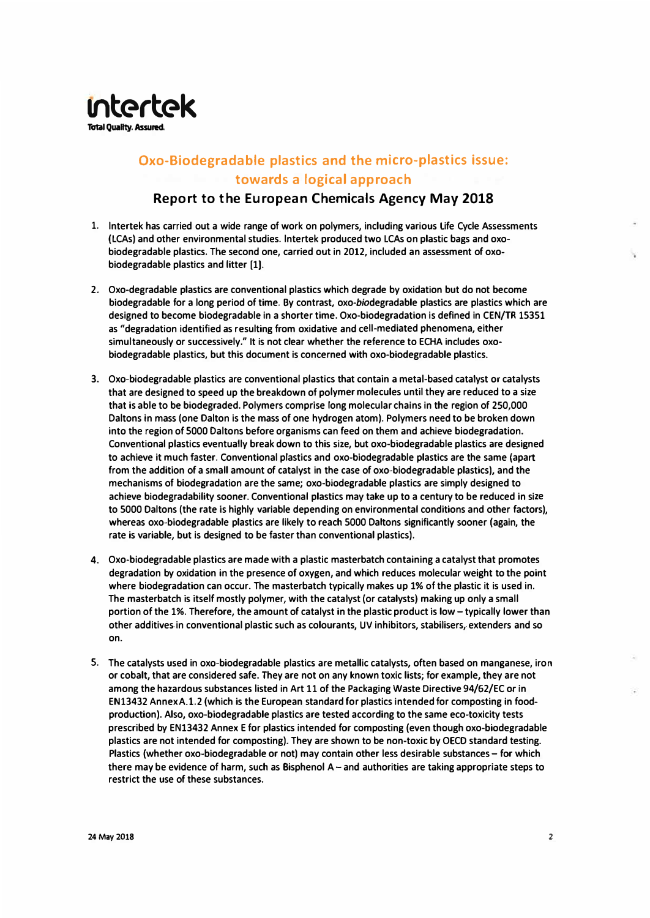

## **Oxo-Biodegradable plastics and the micro-plastics issue: towards a logical approach**

## **Report to the European Chemicals Agency May 2018**

- **1. lntertek has carried out a wide range of work on polymers, including various life Cycle Assessments (LCAs) and other environmental studies. lntertek produced two LCAs on plastic bags and oxobiodegradable plastics. The second one, carried out in 2012, included an assessment of oxobiodegradable plastics and litter (1).**
- **2. Oxo-degradable plastics are conventional plastics which degrade by oxidation but do not become biodegradable for a long period of time. By contrast, oxo-biodegradable plastics are plastics which are designed to become biodegradable in a shorter time. Oxo-biodegradation is defined in CEN/TR 15351 as "degradation identified as resulting from oxidative and cell-mediated phenomena, either simultaneously or successively." It is not clear whether the reference to ECHA includes oxobiodegradable plastics, but this document is concerned with oxo-biodegradable plastics.**
- **3. Oxo-biodegradable plastics are conventional plastics that contain a metal-based catalyst or catalysts that are designed to speed up the breakdown of polymer molecules until they are reduced to a size that is able to be biodegraded. Polymers comprise long molecular chains in the region of 250,000 Daltons in mass (one Dalton is the mass of one hydrogen atom). Polymers need to be broken down into the region of 5000 Oaltons before organisms can feed on them and achieve biodegradation. Conventional plastics eventually break down to this size, but oxo-biodegradable plastics are designed to achieve it much faster. Conventional plastics and oxo-biodegradable plastics are the same (apart from the addition of a small amount of catalyst in the case of oxo-biodegradable plastics), and the mechanisms of biodegradation are the same; oxo-biodegradable plastics are simply designed to achieve biodegradability sooner. Conventional plastics may take up to a century to be reduced in size to 5000 Daltons (the rate is highly variable depending on environmental conditions and other factors), whereas oxo-biodegradable plastics are likely to reach 5000 Daltons significantly sooner (again, the rate is variable, but is designed to be faster than conventional plastics).**
- **4. Oxo-biodegradable plastics are made with a plastic masterbatch containing a catalyst that promotes degradation by oxidation in the presence of oxygen, and which reduces molecular weight to the point where biodegradation can occur. The masterbatch typically makes up 1% of the plastic it is used in. The masterbatch is itself mostly polymer, with the catalyst (or catalysts) making up only a small portion of the 1%. Therefore, the amount of catalyst in the plastic product is low-typically lower than** other additives in conventional plastic such as colourants, UV inhibitors, stabilisers, extenders and so **on.**
- **5. The catalysts used in oxo-biodegradable plastics are metallic catalysts, often based on manganese, iron or cobalt, that are considered safe. They are not on any known toxic lists; for example, they are not among the hazardous substances listed in Art 11 of the Packaging Waste Directive 94/62/EC or in EN13432 Annex A.1.2 (which is the European standard for plastics intended for composting in foodproduction). Also, oxo-biodegradable plastics are tested according to the same eco-toxicity tests prescribed by EN13432 Annex E for plastics intended for composting (even though oxo-biodegradable plastics are not intended for composting). They are shown to be non-toxic by OECD standard testing. Plastics (whether oxo-biodegradable or not) may contain other less desirable substances-for which there may be evidence of harm, such as Bisphenol A - and authorities are taking appropriate steps to restrict the use of these substances.**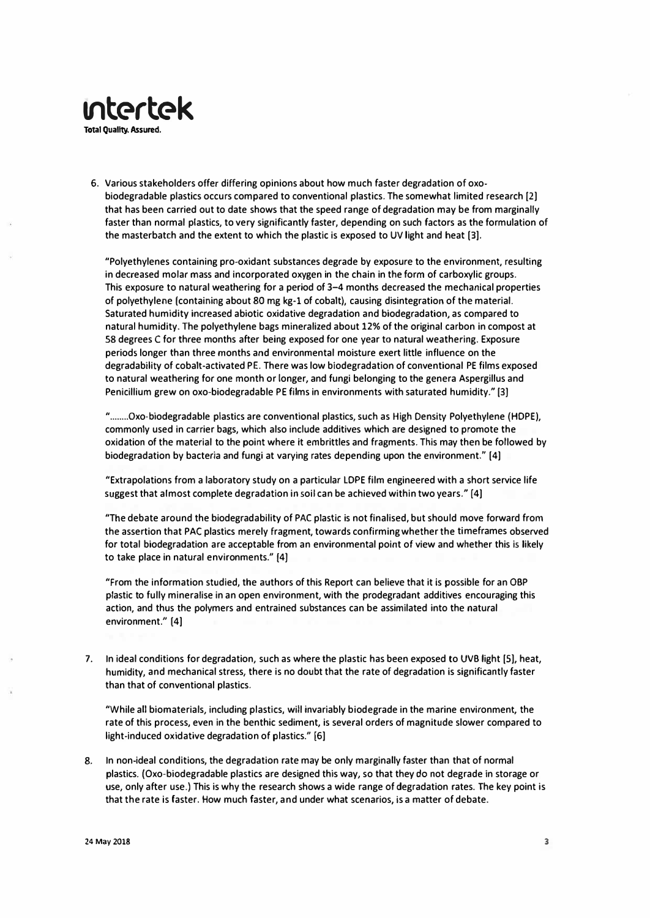

**Total Quality. Assured.** 

6. Various stakeholders offer differing opinions about how much faster degradation of oxobiodegradable plastics occurs compared to conventional plastics. The somewhat limited research [2) that has been carried out to date shows that the speed range of degradation may be from marginally faster than normal plastics, to very significantly faster, depending on such factors as the formulation of the masterbatch and the extent to which the plastic is exposed to UV light and heat (3).

"Polyethylenes containing pro-oxidant substances degrade by exposure to the environment, resulting in decreased molar mass and incorporated oxygen in the chain in the form of carboxylic groups. This exposure to natural weathering for a period of 3-4 months decreased the mechanical properties of polyethylene (containing about 80 mg kg-1 of cobalt), causing disintegration of the material. Saturated humidity increased abiotic oxidative degradation and biodegradation, as compared to natural humidity. The polyethylene bags mineralized about 12% of the original carbon in compost at 58 degrees C for three months after being exposed for one year to natural weathering. Exposure periods longer than three months and environmental moisture exert little influence on the degradability of cobalt-activated PE. There was low biodegradation of conventional PE films exposed to natural weathering for one month or longer, and fungi belonging to the genera Aspergillus and Penicillium grew on oxo-biodegradable PE films in environments with saturated humidity." [3)

"........Oxo-biodegradable plastics are conventional plastics, such as High Density Polyethylene (HOPE), commonly used in carrier bags, which also include additives which are designed to promote the oxidation of the material to the point where it embrittles and fragments. This may then be followed by biodegradation by bacteria and fungi at varying rates depending upon the environment." (4)

"Extrapolations from a laboratory study on a particular LOPE film engineered with a short service life suggest that almost complete degradation in soil can be achieved within two years." [4)

"The debate around the biodegradability of PAC plastic is not finalised, but should move forward from the assertion that PAC plastics merely fragment, towards confirming whether the timeframes observed for total biodegradation are acceptable from an environmental point of view and whether this is likely to take place in natural environments." (4)

"From the information studied, the authors of this Report can believe that it is possible for an OBP plastic to fully mineralise in an open environment, with the prodegradant additives encouraging this action, and thus the polymers and entrained substances can be assimilated into the natural environment." (4)

7. In ideal conditions for degradation, such as where the plastic has been exposed to UVB light [SJ, heat, humidity, and mechanical stress, there is no doubt that the rate of degradation is significantly faster than that of conventional plastics.

"While all biomaterials, including plastics, will invariably biodegrade in the marine environment, the rate of this process, even in the benthic sediment, is several orders of magnitude slower compared to light-induced oxidative degradation of plastics." [6)

8. In non-ideal conditions, the degradation rate may be only marginally faster than that of normal plastics. (Oxo-biodegradable plastics are designed this way, so that they *do* not degrade in storage or use, only after use.) This is why the research shows a wide range of degradation rates. The key point is that the rate is faster. How much faster, and under what scenarios, is a matter of debate.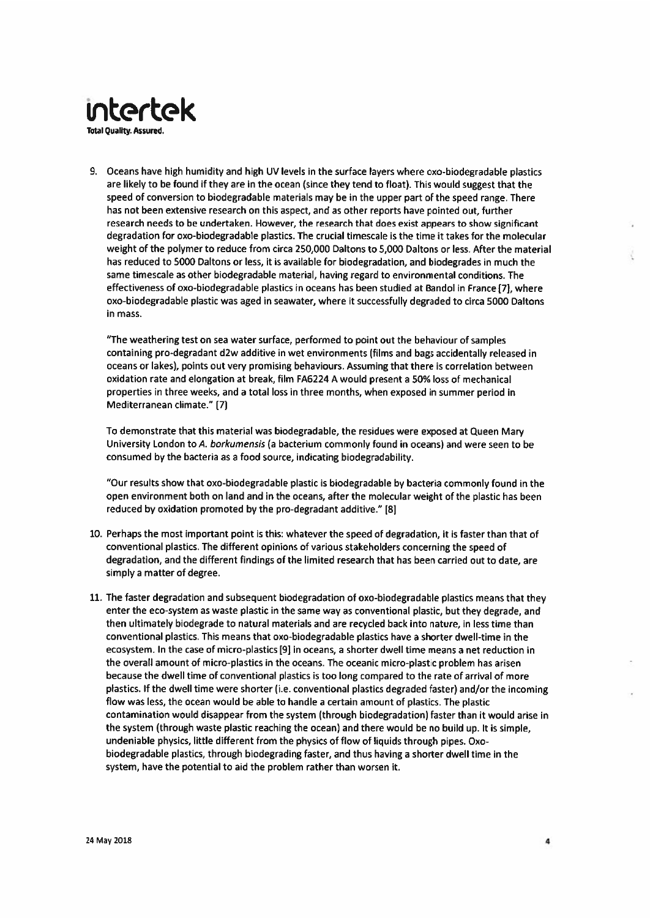

9. Oceans have high humidity and high UV levels in the surface layers where oxo-biodegradable plastics are likely to be found if they are in the ocean (since they tend to float). This would suggest that the speed of conversion to biodegradable materials may be in the upper part of the speed range. There has not been extensive research on this aspect, and as other reports have pointed out, further research needs to be undertaken. However, the research that does exist appears to show significant degradation for oxo-biodegradable plastics. The crucial timescale is the time it takes for the molecular weight of the polymer to reduce from circa 250,000 Daltons to 5,000 Daltons or less. After the material has reduced to 5000 Daltons or less, it is available for biodegradation, and biodegrades in much the same timescale as other biodegradable material, having regard to environmental conditions. The effectiveness of oxo-biodegradable plastics in oceans has been studied at Bandol in France [7], where oxo-biodegradable plastic was aged in seawater, where it successfully degraded to circa 5000 Daltons in mass.

"The weathering test on sea water surface, performed to point out the behaviour of samples containing pro-degradant d2w additive in wet environments (films and bags accidentally released in oceans or lakes), points out very promising behaviours. Assuming that there is correlation between oxidation rate and elongation at break, film FA6224 A would present a 50% loss of mechanical properties in three weeks, and a total loss in three months, when exposed in summer period in Mediterranean climate." [7]

To demonstrate that this material was biodegradable, the residues were exposed at Queen Mary University London to A. borkumensis (a bacterium commonly found in oceans) and were seen to be consumed by the bacteria as a food source, indicating biodegradability.

"Our results show that oxo-biodegradable plastic is biodegradable by bacteria commonly found in the open environment both on land and in the oceans, after the molecular weight of the plastic has been reduced by oxidation promoted by the pro-degradant additive." [8]

- 10. Perhaps the most important point is this: whatever the speed of degradation, it is faster than that of conventional plastics. The different opinions of various stakeholders concerning the speed of degradation, and the different findings of the limited research that has been carried out to date, are simply a matter of degree.
- 11. The faster degradation and subsequent biodegradation of oxo-biodegradable plastics means that they enter the eco-system as waste plastic in the same way as conventional plastic, but they degrade, and then ultimately biodegrade to natural materials and are recycled back into nature, in less time than conventional plastics. This means that oxo-biodegradable plastics have a shorter dwell-time in the ecosystem. In the case of micro-plastics [9] in oceans, a shorter dwell time means a net reduction in the overall amount of micro-plastics in the oceans. The oceanic micro-plastic problem has arisen because the dwell time of conventional plastics is too long compared to the rate of arrival of more plastics. If the dwell time were shorter (i.e. conventional plastics degraded faster) and/or the incoming flow was less, the ocean would be able to handle a certain amount of plastics. The plastic contamination would disappear from the system (through biodegradation) faster than it would arise in the system (through waste plastic reaching the ocean) and there would be no build up. It is simple, undeniable physics, little different from the physics of flow of liquids through pipes. Oxobiodegradable plastics, through biodegrading faster, and thus having a shorter dwell time in the system, have the potential to aid the problem rather than worsen it.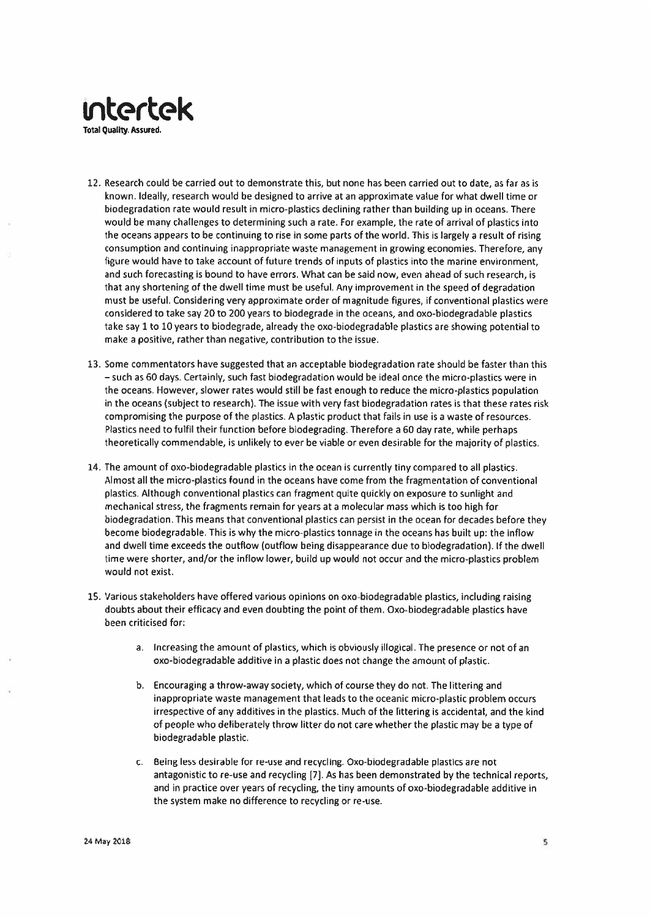

12. Research could be carried out to demonstrate this, but none has been carried out to date, as far as is known. Ideally, research would be designed to arrive at an approximate value for what dwell time or biodegradation rate would result in micro-plastics declining rather than building up in oceans. There would be many challenges to determining such a rate. For example, the rate of arrival of plastics into the oceans appears to be continuing to rise in some parts of the world. This is largely a result of rising consumption and continuing inappropriate waste management in growing economies. Therefore, any figure would have to take account of future trends of inputs of plastics into the marine environment. and such forecasting is bound to have errors. What can be said now, even ahead of such research, is that any shortening of the dwell time must be useful. Any improvement in the speed of degradation must be useful. Considering very approximate order of magnitude figures, if conventional plastics were considered to take say 20 to 200 years to biodegrade in the oceans, and oxo-biodegradable plastics take say 1 to 10 years to biodegrade, already the oxo-biodegradable plastics are showing potential to make a positive, rather than negative, contribution to the issue.

- 13. Some commentators have suggested that an acceptable biodegradation rate should be faster than this - such as 60 days. Certainly, such fast biodegradation would be ideal once the micro-plastics were in the oceans. However, slower rates would still be fast enough to reduce the micro-plastics population in the oceans (subject to research). The issue with very fast biodegradation rates is that these rates risk compromising the purpose of the plastics. A plastic product that fails in use is a waste of resources. Plastics need to fulfil their function before biodegrading. Therefore a 60 day rate, while perhaps theoretically commendable, is unlikely to ever be viable or even desirable for the majority of plastics.
- 14. The amount of oxo-biodegradable plastics in the ocean is currently tiny compared to all plastics. Almost all the micro-plastics found in the oceans have come from the fragmentation of conventional plastics. Although conventional plastics can fragment quite quickly on exposure to sunlight and mechanical stress, the fragments remain for years at a molecular mass which is too high for biodegradation. This means that conventional plastics can persist in the ocean for decades before they become biodegradable. This is why the micro-plastics tonnage in the oceans has built up: the inflow and dwell time exceeds the outflow (outflow being disappearance due to biodegradation). If the dwell time were shorter, and/or the inflow lower, build up would not occur and the micro-plastics problem would not exist.
- 15. Various stakeholders have offered various opinions on oxo-biodegradable plastics, including raising doubts about their efficacy and even doubting the point of them. Oxo-biodegradable plastics have been criticised for:
	- a. Increasing the amount of plastics, which is obviously illogical. The presence or not of an oxo-biodegradable additive in a plastic does not change the amount of plastic.
	- b. Encouraging a throw-away society, which of course they do not. The littering and inappropriate waste management that leads to the oceanic micro-plastic problem occurs irrespective of any additives in the plastics. Much of the littering is accidental, and the kind of people who deliberately throw litter do not care whether the plastic may be a type of biodegradable plastic.
	- c. Being less desirable for re-use and recycling. Oxo-biodegradable plastics are not antagonistic to re-use and recycling [7]. As has been demonstrated by the technical reports, and in practice over years of recycling, the tiny amounts of oxo-biodegradable additive in the system make no difference to recycling or re-use.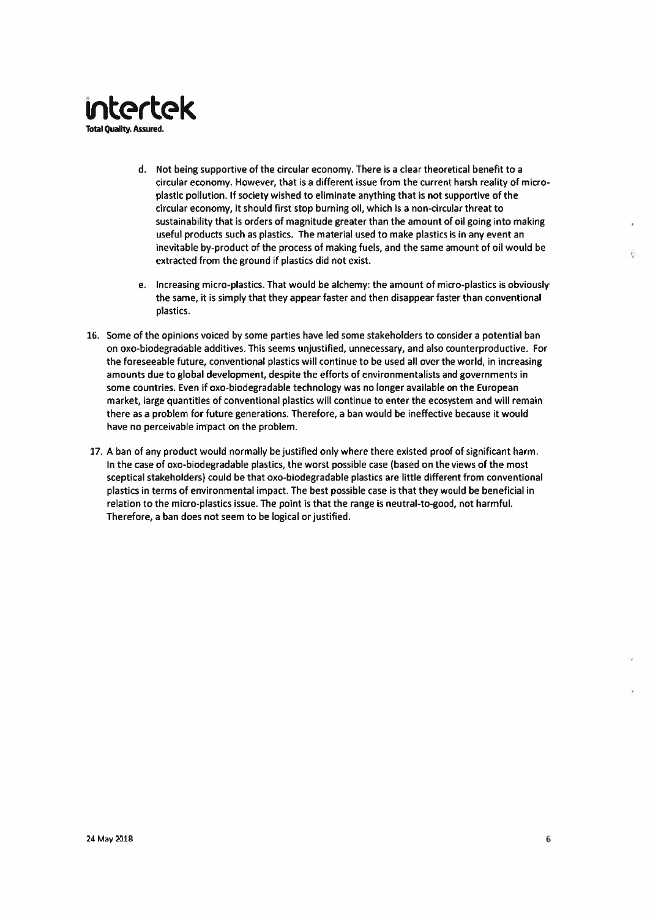

- d. Not being supportive of the circular economy. There is a clear theoretical benefit to a circular economy. However, that is a different issue from the current harsh reality of microplastic pollution. If society wished to eliminate anything that is not supportive of the circular economy, it should first stop burning oil, which is a non-circular threat to sustainability that is orders of magnitude greater than the amount of oil going into making useful products such as plastics. The material used to make plastics is in any event an inevitable by-product of the process of making fuels, and the same amount of oil would be extracted from the ground if plastics did not exist.
- e. Increasing micro-plastics. That would be alchemy: the amount of micro-plastics is obviously the same, it is simply that they appear faster and then disappear faster than conventional plastics.
- 16. Some of the opinions voiced by some parties have led some stakeholders to consider a potential ban on oxo-biodegradable additives. This seems unjustified, unnecessary, and also counterproductive. For the foreseeable future, conventional plastics will continue to be used all over the world, in increasing amounts due to global development, despite the efforts of environmentalists and governments in some countries. Even if oxo-biodegradable technology was no longer available on the European market, large quantities of conventional plastics will continue to enter the ecosystem and will remain there as a problem for future generations. Therefore, a ban would be ineffective because it would have no perceivable impact on the problem.
- 17. A ban of any product would normally be justified only where there existed proof of significant harm. In the case of oxo-biodegradable plastics, the worst possible case (based on the views of the most sceptical stakeholders) could be that oxo-biodegradable plastics are little different from conventional plastics in terms of environmental impact. The best possible case is that they would be beneficial in relation to the micro-plastics issue. The point is that the range is neutral-to-good, not harmful. Therefore, a ban does not seem to be logical or justified.